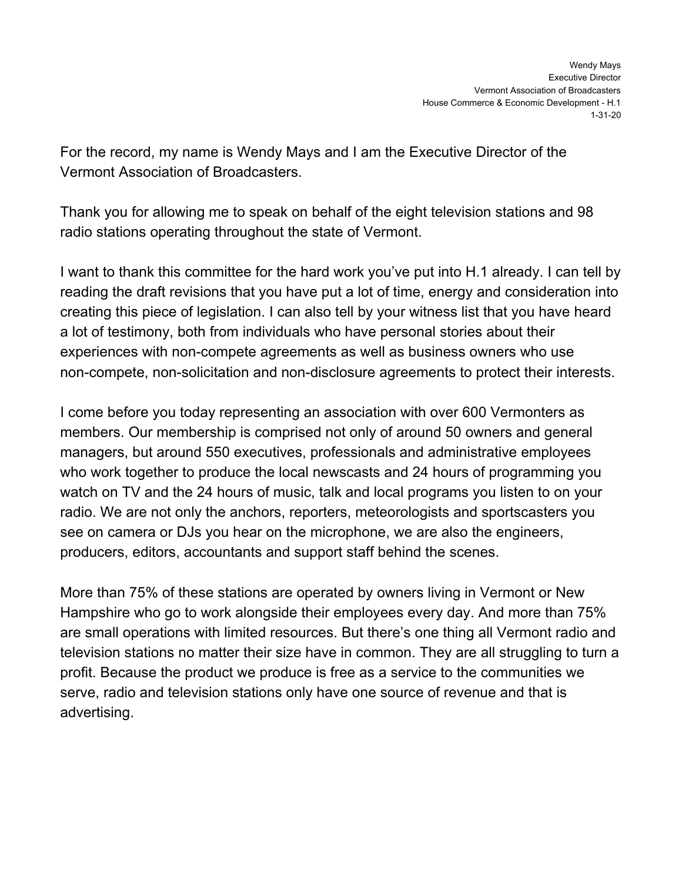For the record, my name is Wendy Mays and I am the Executive Director of the Vermont Association of Broadcasters.

Thank you for allowing me to speak on behalf of the eight television stations and 98 radio stations operating throughout the state of Vermont.

I want to thank this committee for the hard work you've put into H.1 already. I can tell by reading the draft revisions that you have put a lot of time, energy and consideration into creating this piece of legislation. I can also tell by your witness list that you have heard a lot of testimony, both from individuals who have personal stories about their experiences with non-compete agreements as well as business owners who use non-compete, non-solicitation and non-disclosure agreements to protect their interests.

I come before you today representing an association with over 600 Vermonters as members. Our membership is comprised not only of around 50 owners and general managers, but around 550 executives, professionals and administrative employees who work together to produce the local newscasts and 24 hours of programming you watch on TV and the 24 hours of music, talk and local programs you listen to on your radio. We are not only the anchors, reporters, meteorologists and sportscasters you see on camera or DJs you hear on the microphone, we are also the engineers, producers, editors, accountants and support staff behind the scenes.

More than 75% of these stations are operated by owners living in Vermont or New Hampshire who go to work alongside their employees every day. And more than 75% are small operations with limited resources. But there's one thing all Vermont radio and television stations no matter their size have in common. They are all struggling to turn a profit. Because the product we produce is free as a service to the communities we serve, radio and television stations only have one source of revenue and that is advertising.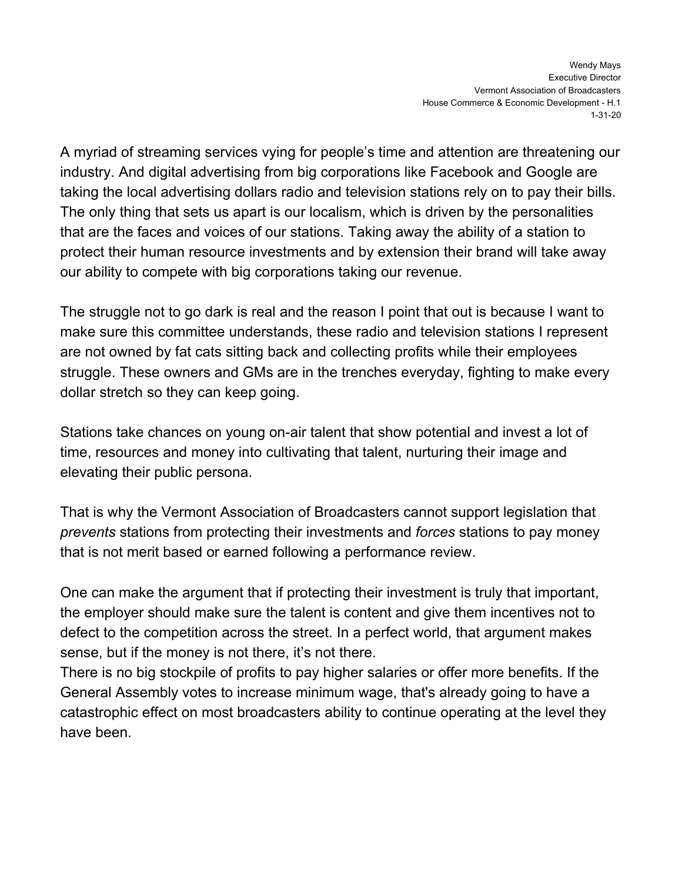A myriad of streaming services vying for people's time and attention are threatening our industry. And digital advertising from big corporations like Facebook and Google are taking the local advertising dollars radio and television stations rely on to pay their bills. The only thing that sets us apart is our localism, which is driven by the personalities that are the faces and voices of our stations. Taking away the ability of a station to protect their human resource investments and by extension their brand will take away our ability to compete with big corporations taking our revenue.

The struggle not to go dark is real and the reason I point that out is because I want to make sure this committee understands, these radio and television stations I represent are not owned by fat cats sitting back and collecting profits while their employees struggle. These owners and GMs are in the trenches everyday, fighting to make every dollar stretch so they can keep going.

Stations take chances on young on-air talent that show potential and invest a lot of time, resources and money into cultivating that talent, nurturing their image and elevating their public persona.

That is why the Vermont Association of Broadcasters cannot support legislation that *prevents* stations from protecting their investments and *forces* stations to pay money that is not merit based or earned following a performance review.

One can make the argument that if protecting their investment is truly that important, the employer should make sure the talent is content and give them incentives not to defect to the competition across the street. In a perfect world, that argument makes sense, but if the money is not there, it's not there.

There is no big stockpile of profits to pay higher salaries or offer more benefits. If the General Assembly votes to increase minimum wage, that's already going to have a catastrophic effect on most broadcasters ability to continue operating at the level they have been.